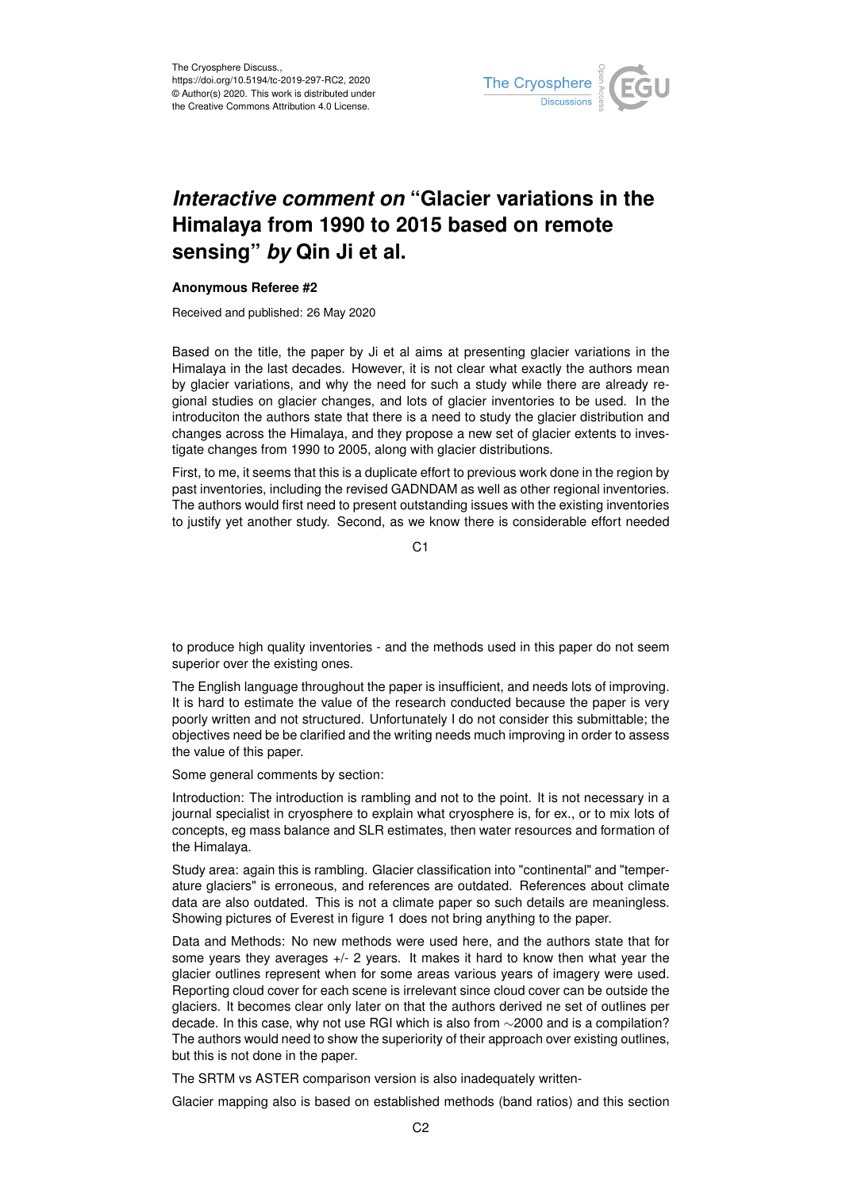

## *Interactive comment on* **"Glacier variations in the Himalaya from 1990 to 2015 based on remote sensing"** *by* **Qin Ji et al.**

## **Anonymous Referee #2**

Received and published: 26 May 2020

Based on the title, the paper by Ji et al aims at presenting glacier variations in the Himalaya in the last decades. However, it is not clear what exactly the authors mean by glacier variations, and why the need for such a study while there are already regional studies on glacier changes, and lots of glacier inventories to be used. In the introduciton the authors state that there is a need to study the glacier distribution and changes across the Himalaya, and they propose a new set of glacier extents to investigate changes from 1990 to 2005, along with glacier distributions.

First, to me, it seems that this is a duplicate effort to previous work done in the region by past inventories, including the revised GADNDAM as well as other regional inventories. The authors would first need to present outstanding issues with the existing inventories to justify yet another study. Second, as we know there is considerable effort needed

C<sub>1</sub>

to produce high quality inventories - and the methods used in this paper do not seem superior over the existing ones.

The English language throughout the paper is insufficient, and needs lots of improving. It is hard to estimate the value of the research conducted because the paper is very poorly written and not structured. Unfortunately I do not consider this submittable; the objectives need be be clarified and the writing needs much improving in order to assess the value of this paper.

Some general comments by section:

Introduction: The introduction is rambling and not to the point. It is not necessary in a journal specialist in cryosphere to explain what cryosphere is, for ex., or to mix lots of concepts, eg mass balance and SLR estimates, then water resources and formation of the Himalaya.

Study area: again this is rambling. Glacier classification into "continental" and "temperature glaciers" is erroneous, and references are outdated. References about climate data are also outdated. This is not a climate paper so such details are meaningless. Showing pictures of Everest in figure 1 does not bring anything to the paper.

Data and Methods: No new methods were used here, and the authors state that for some years they averages  $+/-$  2 years. It makes it hard to know then what year the glacier outlines represent when for some areas various years of imagery were used. Reporting cloud cover for each scene is irrelevant since cloud cover can be outside the glaciers. It becomes clear only later on that the authors derived ne set of outlines per decade. In this case, why not use RGI which is also from ∼2000 and is a compilation? The authors would need to show the superiority of their approach over existing outlines, but this is not done in the paper.

The SRTM vs ASTER comparison version is also inadequately written-

Glacier mapping also is based on established methods (band ratios) and this section